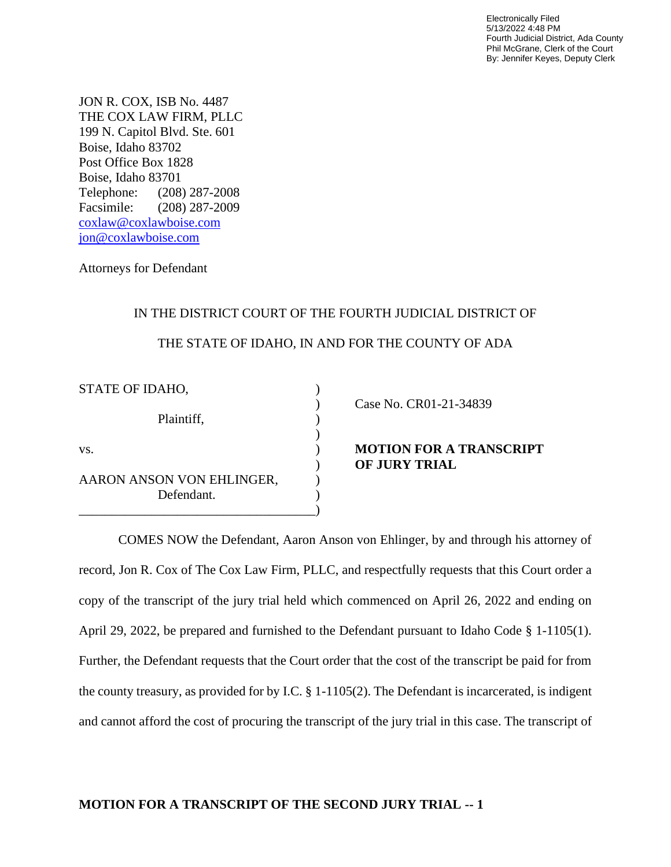Electronically Filed 5/13/2022 4:48 PM Fourth Judicial District, Ada County Phil McGrane, Clerk of the Court By: Jennifer Keyes, Deputy Clerk

JON R. COX, ISB No. 4487 THE COX LAW FIRM, PLLC 199 N. Capitol Blvd. Ste. 601 Boise, Idaho 83702 Post Office Box 1828 Boise, Idaho 83701 Telephone: (208) 287-2008 Facsimile: (208) 287-2009 [coxlaw@coxlawboise.com](mailto:coxlaw@coxlawboise.com) jon@coxlawboise.com

Attorneys for Defendant

## IN THE DISTRICT COURT OF THE FOURTH JUDICIAL DISTRICT OF THE STATE OF IDAHO, IN AND FOR THE COUNTY OF ADA

| STATE OF IDAHO,                         |  |
|-----------------------------------------|--|
| Plaintiff,                              |  |
| VS.                                     |  |
| AARON ANSON VON EHLINGER,<br>Defendant. |  |

) Case No. CR01-21-34839

**NOTION FOR A TRANSCRIPT** ) **OF JURY TRIAL**

COMES NOW the Defendant, Aaron Anson von Ehlinger, by and through his attorney of record, Jon R. Cox of The Cox Law Firm, PLLC, and respectfully requests that this Court order a copy of the transcript of the jury trial held which commenced on April 26, 2022 and ending on April 29, 2022, be prepared and furnished to the Defendant pursuant to Idaho Code § 1-1105(1). Further, the Defendant requests that the Court order that the cost of the transcript be paid for from the county treasury, as provided for by I.C. § 1-1105(2). The Defendant is incarcerated, is indigent and cannot afford the cost of procuring the transcript of the jury trial in this case. The transcript of

## **MOTION FOR A TRANSCRIPT OF THE SECOND JURY TRIAL -- 1**